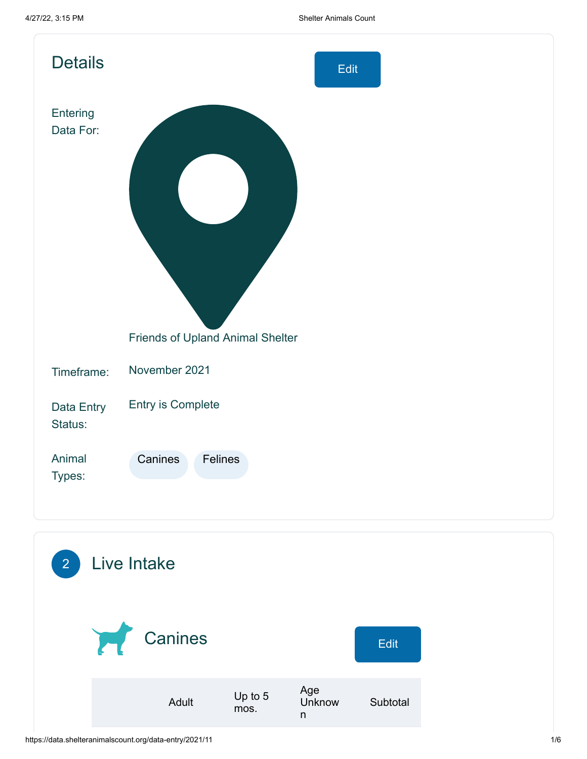| <b>Details</b>        | Edit                             |
|-----------------------|----------------------------------|
| Entering<br>Data For: | Friends of Upland Animal Shelter |
| Timeframe:            | November 2021                    |
| Data Entry<br>Status: | <b>Entry is Complete</b>         |
| Animal<br>Types:      | Canines<br>Felines               |
|                       |                                  |

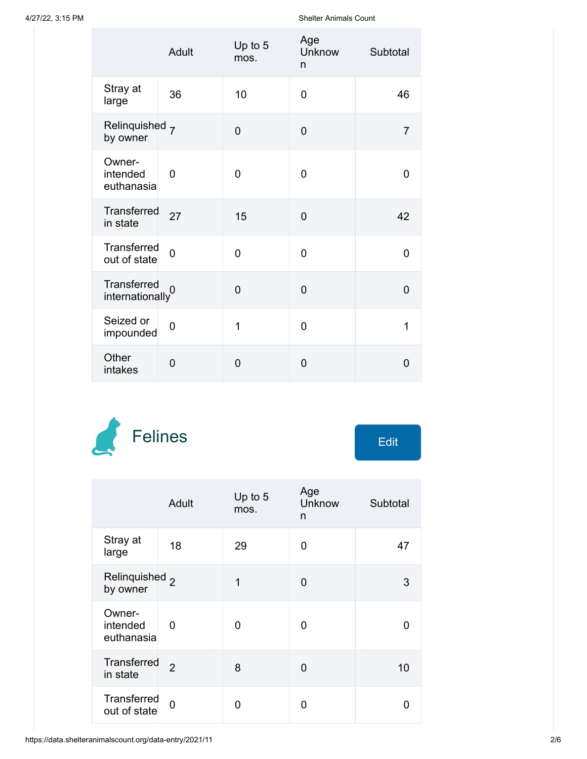4/27/22, 3:15 PM Shelter Animals Count

|                                              | Adult          | Up to 5<br>mos. | Age<br>Unknow<br>n | Subtotal       |
|----------------------------------------------|----------------|-----------------|--------------------|----------------|
| Stray at<br>large                            | 36             | 10              | 0                  | 46             |
| Relinquished 7<br>by owner                   |                | $\overline{0}$  | $\overline{0}$     | $\overline{7}$ |
| Owner-<br>intended<br>euthanasia             | $\overline{0}$ | $\overline{0}$  | $\Omega$           | $\overline{0}$ |
| Transferred<br>in state                      | 27             | 15              | $\overline{0}$     | 42             |
| Transferred<br>out of state                  | $\overline{0}$ | $\overline{0}$  | 0                  | 0              |
| Transferred<br>$\frac{1}{2}$ internationally |                | $\overline{0}$  | $\overline{0}$     | $\overline{0}$ |
| Seized or<br>impounded                       | $\overline{0}$ | 1               | 0                  | 1              |
| Other<br>intakes                             | $\overline{0}$ | $\overline{0}$  | $\overline{0}$     | $\overline{0}$ |



| Edit |  |
|------|--|
|      |  |

|                                       | Adult          | Up to 5<br>mos. | Age<br><b>Unknow</b><br>n | Subtotal |
|---------------------------------------|----------------|-----------------|---------------------------|----------|
| Stray at<br>large                     | 18             | 29              | O                         | 47       |
| Relinquished <sub>2</sub><br>by owner |                | 1               | 0                         | 3        |
| Owner-<br>intended<br>euthanasia      | 0              | 0               | O                         | 0        |
| <b>Transferred</b><br>in state        | $\overline{2}$ | 8               | 0                         | 10       |
| Transferred<br>out of state           | $\overline{0}$ | N               | ი                         | O        |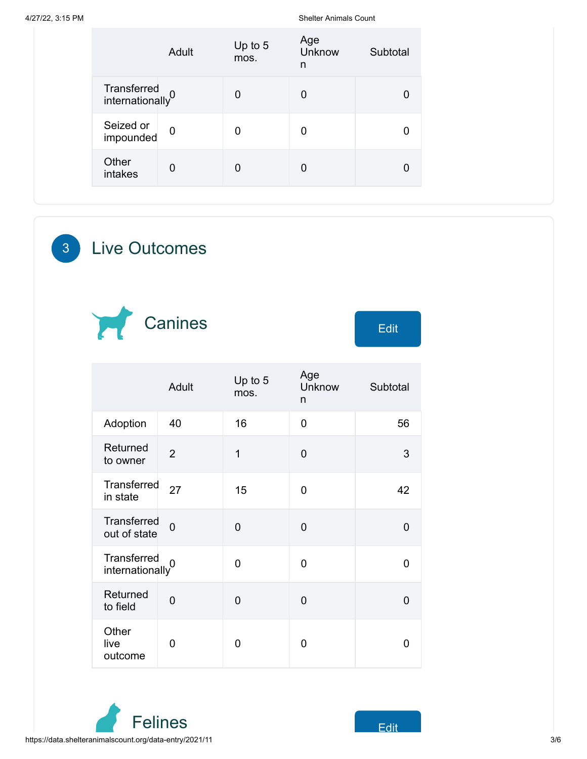4/27/22, 3:15 PM Shelter Animals Count

|                                             | Adult          | Up to 5<br>mos. | Age<br>Unknow<br>n | Subtotal |
|---------------------------------------------|----------------|-----------------|--------------------|----------|
| Transferred<br>internationally <sup>0</sup> |                | 0               | 0                  | 0        |
| Seized or<br>impounded                      | $\mathbf 0$    | $\mathbf 0$     | 0                  | 0        |
| Other<br>intakes                            | $\overline{0}$ | 0               | 0                  | 0        |

3 Live Outcomes



|                                             | Adult          | Up to 5<br>mos. | Age<br>Unknow<br>n | Subtotal |
|---------------------------------------------|----------------|-----------------|--------------------|----------|
| Adoption                                    | 40             | 16              | $\overline{0}$     | 56       |
| Returned<br>to owner                        | $\overline{2}$ | $\overline{1}$  | 0                  | 3        |
| Transferred<br>in state                     | 27             | 15              | 0                  | 42       |
| Transferred<br>out of state                 | $\overline{0}$ | $\overline{0}$  | 0                  | 0        |
| Transferred<br>internationally <sup>0</sup> |                | $\mathbf 0$     | 0                  | 0        |
| Returned<br>to field                        | $\mathbf 0$    | 0               | 0                  | 0        |
| Other<br>live<br>outcome                    | 0              | 0               | 0                  | O        |

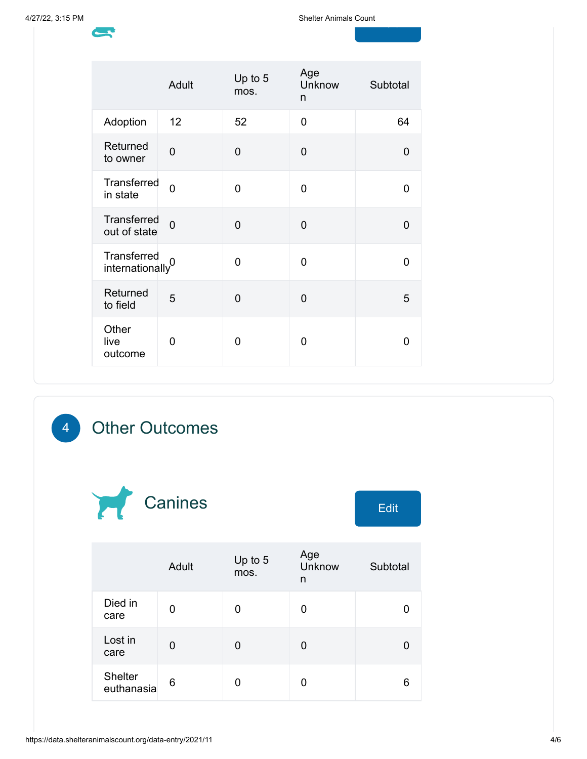d<br>1940 - Johann Barnett, amerikansk konge<br>1940 - Johann Barnett, amerikansk konge

|                                             | Adult          | Up to 5<br>mos. | Age<br>Unknow<br>n | Subtotal       |
|---------------------------------------------|----------------|-----------------|--------------------|----------------|
| Adoption                                    | 12             | 52              | 0                  | 64             |
| Returned<br>to owner                        | $\overline{0}$ | $\overline{0}$  | $\Omega$           | 0              |
| <b>Transferred</b><br>in state              | $\overline{0}$ | $\overline{0}$  | 0                  | 0              |
| Transferred<br>out of state                 | $\overline{0}$ | $\overline{0}$  | $\mathbf 0$        | $\overline{0}$ |
| Transferred<br>internationally <sup>0</sup> |                | $\Omega$        | $\Omega$           | 0              |
| Returned<br>to field                        | 5              | $\overline{0}$  | 0                  | 5              |
| Other<br>live<br>outcome                    | 0              | 0               | 0                  | 0              |

## 4 Other Outcomes



|                              | Adult | Up to 5<br>mos. | Age<br>Unknow<br>n | Subtotal |
|------------------------------|-------|-----------------|--------------------|----------|
| Died in<br>care              | 0     | 0               | 0                  |          |
| Lost in<br>care              | 0     | 0               | 0                  |          |
| <b>Shelter</b><br>euthanasia | 6     | 0               | 0                  | 6        |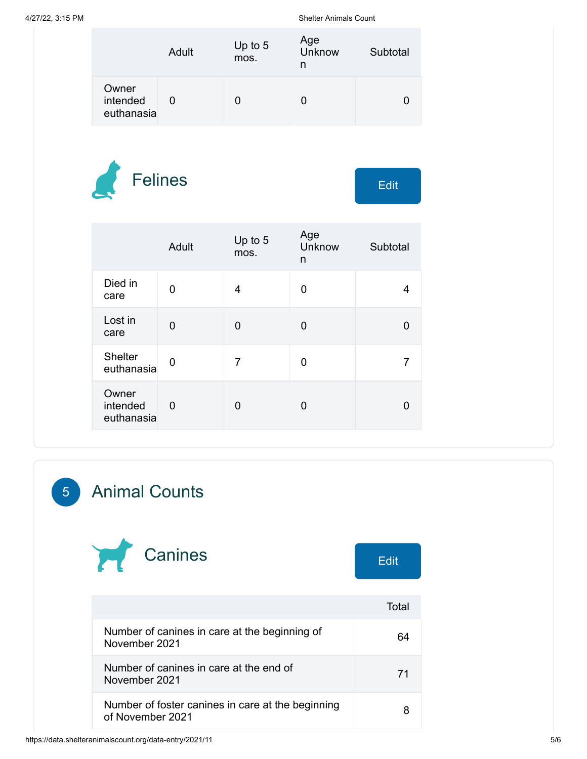4/27/22, 3:15 PM Shelter Animals Count

|                                 | Adult | Up to 5<br>mos. | Age<br>Unknow<br>n | Subtotal |
|---------------------------------|-------|-----------------|--------------------|----------|
| Owner<br>intended<br>euthanasia |       |                 |                    |          |



|                                 | Adult       | Up to 5<br>mos. | Age<br>Unknow<br>n | Subtotal |
|---------------------------------|-------------|-----------------|--------------------|----------|
| Died in<br>care                 | 0           | 4               | 0                  |          |
| Lost in<br>care                 | 0           | 0               | 0                  |          |
| <b>Shelter</b><br>euthanasia    | 0           | 7               | 0                  |          |
| Owner<br>intended<br>euthanasia | $\mathbf 0$ | U               | 0                  |          |

## 5 Animal Counts



|                                                                       | Total |
|-----------------------------------------------------------------------|-------|
| Number of canines in care at the beginning of<br>November 2021        |       |
| Number of canines in care at the end of<br>November 2021              |       |
| Number of foster canines in care at the beginning<br>of November 2021 |       |